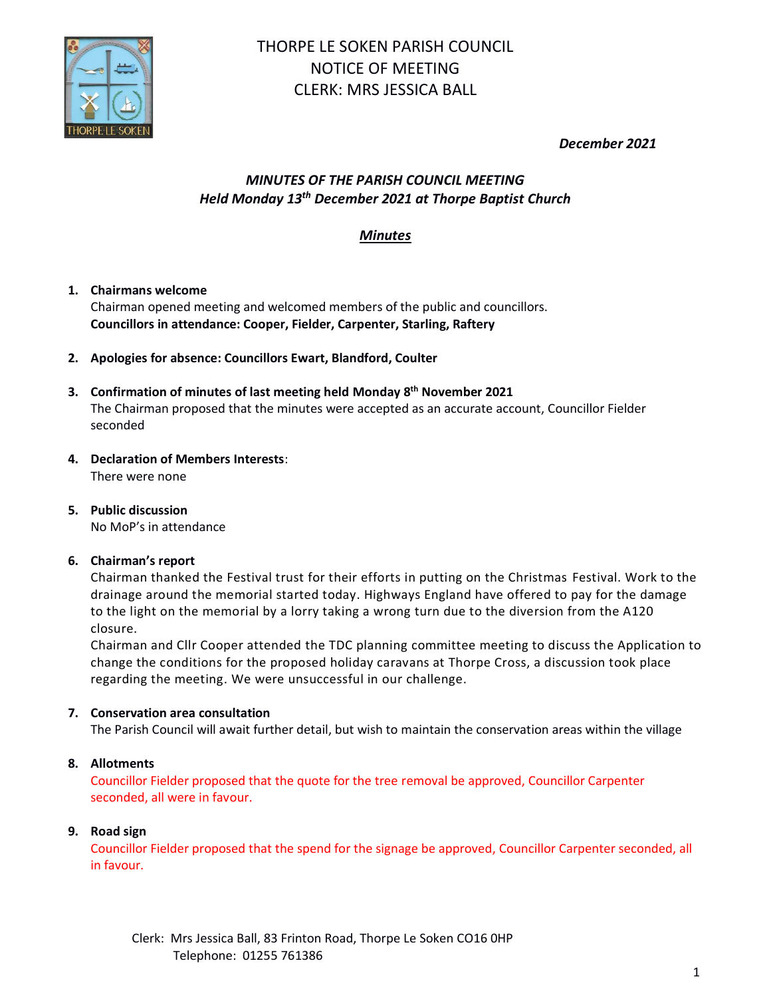

# THORPE LE SOKEN PARISH COUNCIL NOTICE OF MEETING CLERK: MRS JESSICA BALL

*December 2021*

## *MINUTES OF THE PARISH COUNCIL MEETING Held Monday 13th December 2021 at Thorpe Baptist Church*

## *Minutes*

## **1. Chairmans welcome**

Chairman opened meeting and welcomed members of the public and councillors. **Councillors in attendance: Cooper, Fielder, Carpenter, Starling, Raftery**

**2. Apologies for absence: Councillors Ewart, Blandford, Coulter**

#### **3. Confirmation of minutes of last meeting held Monday 8 th November 2021** The Chairman proposed that the minutes were accepted as an accurate account, Councillor Fielder seconded

## **4. Declaration of Members Interests**:

There were none

**5. Public discussion** No MoP's in attendance

## **6. Chairman's report**

Chairman thanked the Festival trust for their efforts in putting on the Christmas Festival. Work to the drainage around the memorial started today. Highways England have offered to pay for the damage to the light on the memorial by a lorry taking a wrong turn due to the diversion from the A120 closure.

Chairman and Cllr Cooper attended the TDC planning committee meeting to discuss the Application to change the conditions for the proposed holiday caravans at Thorpe Cross, a discussion took place regarding the meeting. We were unsuccessful in our challenge.

## **7. Conservation area consultation**

The Parish Council will await further detail, but wish to maintain the conservation areas within the village

## **8. Allotments**

Councillor Fielder proposed that the quote for the tree removal be approved, Councillor Carpenter seconded, all were in favour.

## **9. Road sign**

Councillor Fielder proposed that the spend for the signage be approved, Councillor Carpenter seconded, all in favour.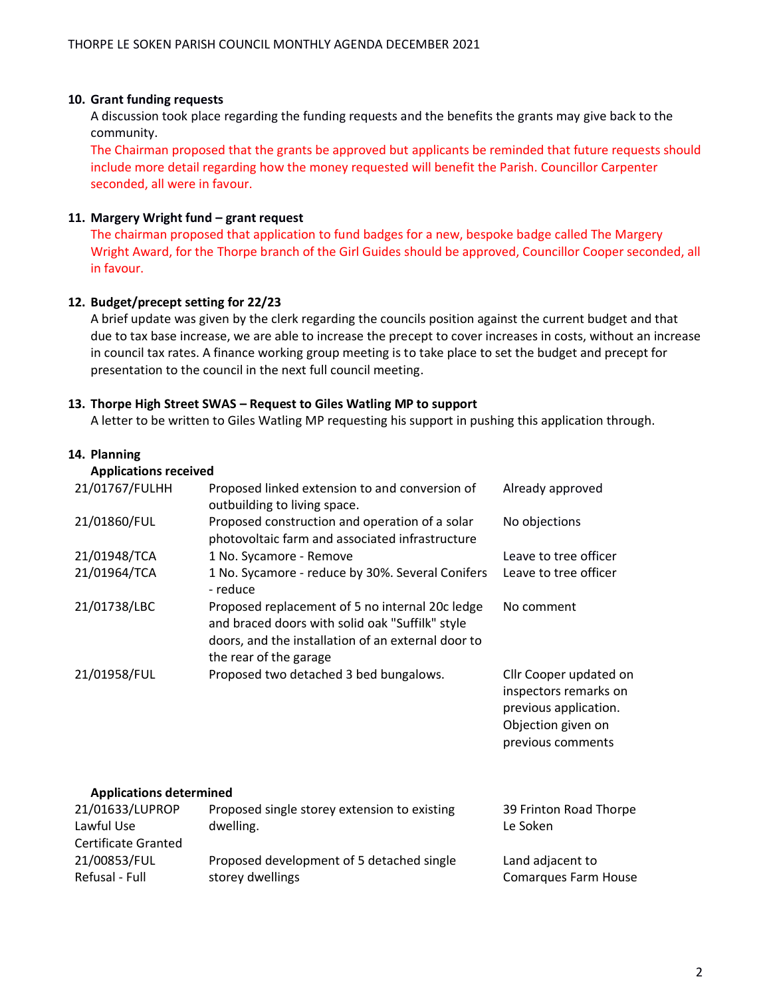#### **10. Grant funding requests**

A discussion took place regarding the funding requests and the benefits the grants may give back to the community.

The Chairman proposed that the grants be approved but applicants be reminded that future requests should include more detail regarding how the money requested will benefit the Parish. Councillor Carpenter seconded, all were in favour.

#### **11. Margery Wright fund – grant request**

The chairman proposed that application to fund badges for a new, bespoke badge called The Margery Wright Award, for the Thorpe branch of the Girl Guides should be approved, Councillor Cooper seconded, all in favour.

#### **12. Budget/precept setting for 22/23**

A brief update was given by the clerk regarding the councils position against the current budget and that due to tax base increase, we are able to increase the precept to cover increases in costs, without an increase in council tax rates. A finance working group meeting is to take place to set the budget and precept for presentation to the council in the next full council meeting.

#### **13. Thorpe High Street SWAS – Request to Giles Watling MP to support**

storey dwellings

A letter to be written to Giles Watling MP requesting his support in pushing this application through.

#### **14. Planning**

Refusal - Full

| <b>Applications received</b> |  |
|------------------------------|--|
|------------------------------|--|

| 21/01767/FULHH                                              | Proposed linked extension to and conversion of<br>outbuilding to living space.                                                                                                     | Already approved                                                                                                    |
|-------------------------------------------------------------|------------------------------------------------------------------------------------------------------------------------------------------------------------------------------------|---------------------------------------------------------------------------------------------------------------------|
| 21/01860/FUL                                                | Proposed construction and operation of a solar<br>photovoltaic farm and associated infrastructure                                                                                  | No objections                                                                                                       |
| 21/01948/TCA                                                | 1 No. Sycamore - Remove                                                                                                                                                            | Leave to tree officer                                                                                               |
| 21/01964/TCA                                                | 1 No. Sycamore - reduce by 30%. Several Conifers<br>- reduce                                                                                                                       | Leave to tree officer                                                                                               |
| 21/01738/LBC                                                | Proposed replacement of 5 no internal 20c ledge<br>and braced doors with solid oak "Suffilk" style<br>doors, and the installation of an external door to<br>the rear of the garage | No comment                                                                                                          |
| 21/01958/FUL                                                | Proposed two detached 3 bed bungalows.                                                                                                                                             | Cllr Cooper updated on<br>inspectors remarks on<br>previous application.<br>Objection given on<br>previous comments |
| <b>Applications determined</b>                              |                                                                                                                                                                                    |                                                                                                                     |
| 21/01633/LUPROP<br>Lawful Use<br><b>Certificate Granted</b> | Proposed single storey extension to existing<br>dwelling.                                                                                                                          | 39 Frinton Road Thorpe<br>Le Soken                                                                                  |
| 21/00853/FUL                                                | Proposed development of 5 detached single                                                                                                                                          | Land adjacent to                                                                                                    |

Comarques Farm House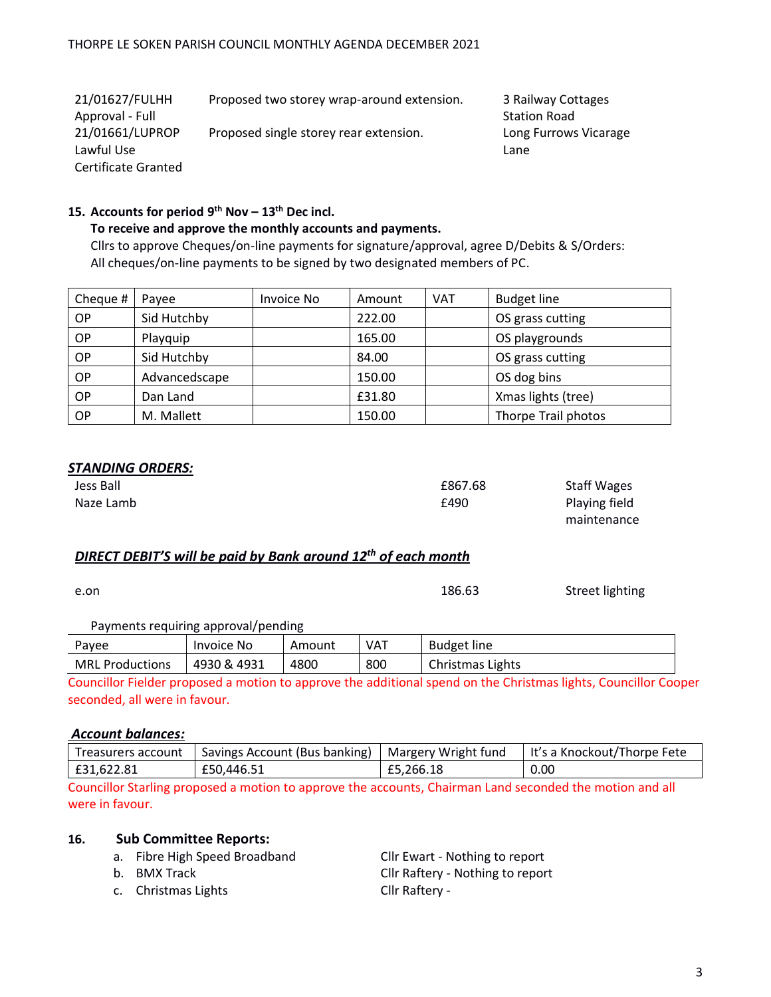| 21/01627/FULHH      | Proposed two storey wrap-around extension. | 3 Railway Cottages    |
|---------------------|--------------------------------------------|-----------------------|
| Approval - Full     |                                            | <b>Station Road</b>   |
| 21/01661/LUPROP     | Proposed single storey rear extension.     | Long Furrows Vicarage |
| Lawful Use          |                                            | Lane                  |
| Certificate Granted |                                            |                       |

### **15. Accounts for period 9 th Nov – 13th Dec incl.**

#### **To receive and approve the monthly accounts and payments.**

Cllrs to approve Cheques/on-line payments for signature/approval, agree D/Debits & S/Orders: All cheques/on-line payments to be signed by two designated members of PC.

| Cheque #  | Payee         | Invoice No | Amount | <b>VAT</b> | <b>Budget line</b>  |
|-----------|---------------|------------|--------|------------|---------------------|
| OP.       | Sid Hutchby   |            | 222.00 |            | OS grass cutting    |
| OP        | Playquip      |            | 165.00 |            | OS playgrounds      |
| ОP        | Sid Hutchby   |            | 84.00  |            | OS grass cutting    |
| OP.       | Advancedscape |            | 150.00 |            | OS dog bins         |
| <b>OP</b> | Dan Land      |            | £31.80 |            | Xmas lights (tree)  |
| <b>OP</b> | M. Mallett    |            | 150.00 |            | Thorpe Trail photos |

#### *STANDING ORDERS:*

| Jess Ball | £867.68 | <b>Staff Wages</b> |
|-----------|---------|--------------------|
| Naze Lamb | £490    | Playing field      |
|           |         | maintenance        |

## *DIRECT DEBIT'S will be paid by Bank around 12th of each month*

e.on **186.63** Street lighting

#### Payments requiring approval/pending

| Pavee                  | <b>Invoice No</b> | Amount | VAT | <b>Budget line</b> |
|------------------------|-------------------|--------|-----|--------------------|
| <b>MRL Productions</b> | 4930 & 4931       | 4800   | 800 | Christmas Lights   |

Councillor Fielder proposed a motion to approve the additional spend on the Christmas lights, Councillor Cooper seconded, all were in favour.

#### *Account balances:*

| Treasurers account | Savings Account (Bus banking) | Margery Wright fund | It's a Knockout/Thorpe Fete |
|--------------------|-------------------------------|---------------------|-----------------------------|
| £31,622.81         | £50,446.51                    | £5,266.18           | 0.00                        |

Councillor Starling proposed a motion to approve the accounts, Chairman Land seconded the motion and all were in favour.

#### **16. Sub Committee Reports:**

a. Fibre High Speed Broadband Cllr Ewart - Nothing to report

c. Christmas Lights Cllr Raftery -

b. BMX Track Cllr Raftery - Nothing to report